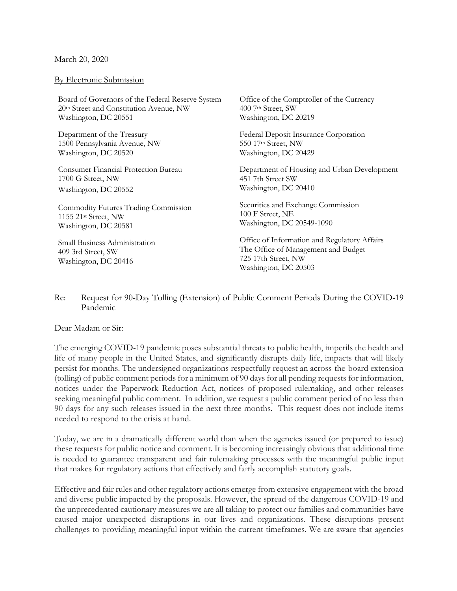## March 20, 2020

## By Electronic Submission

Board of Governors of the Federal Reserve System 20th Street and Constitution Avenue, NW Washington, DC 20551

Department of the Treasury 1500 Pennsylvania Avenue, NW Washington, DC 20520

Consumer Financial Protection Bureau 1700 G Street, NW Washington, DC 20552

Commodity Futures Trading Commission 1155 21st Street, NW Washington, DC 20581

Small Business Administration 409 3rd Street, SW Washington, DC 20416

Office of the Comptroller of the Currency 400 7th Street, SW Washington, DC 20219

Federal Deposit Insurance Corporation 550 17th Street, NW Washington, DC 20429

Department of Housing and Urban Development 451 7th Street SW Washington, DC 20410

Securities and Exchange Commission 100 F Street, NE Washington, DC 20549-1090

Office of Information and Regulatory Affairs The Office of Management and Budget 725 17th Street, NW Washington, DC 20503

Re: Request for 90-Day Tolling (Extension) of Public Comment Periods During the COVID-19 Pandemic

## Dear Madam or Sir:

The emerging COVID-19 pandemic poses substantial threats to public health, imperils the health and life of many people in the United States, and significantly disrupts daily life, impacts that will likely persist for months. The undersigned organizations respectfully request an across-the-board extension (tolling) of public comment periods for a minimum of 90 days for all pending requests for information, notices under the Paperwork Reduction Act, notices of proposed rulemaking, and other releases seeking meaningful public comment. In addition, we request a public comment period of no less than 90 days for any such releases issued in the next three months. This request does not include items needed to respond to the crisis at hand.

Today, we are in a dramatically different world than when the agencies issued (or prepared to issue) these requests for public notice and comment. It is becoming increasingly obvious that additional time is needed to guarantee transparent and fair rulemaking processes with the meaningful public input that makes for regulatory actions that effectively and fairly accomplish statutory goals.

Effective and fair rules and other regulatory actions emerge from extensive engagement with the broad and diverse public impacted by the proposals. However, the spread of the dangerous COVID-19 and the unprecedented cautionary measures we are all taking to protect our families and communities have caused major unexpected disruptions in our lives and organizations. These disruptions present challenges to providing meaningful input within the current timeframes. We are aware that agencies